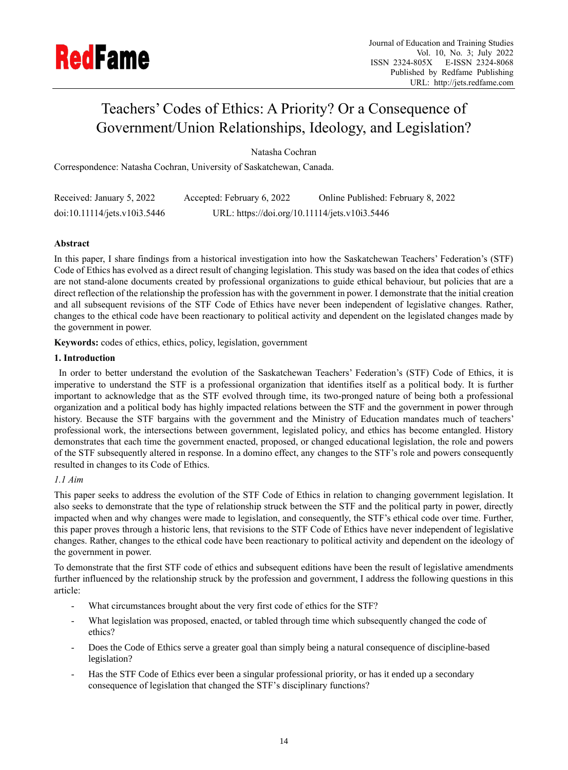

# Teachers' Codes of Ethics: A Priority? Or a Consequence of Government/Union Relationships, Ideology, and Legislation?

Natasha Cochran

Correspondence: Natasha Cochran, University of Saskatchewan, Canada.

| Received: January 5, 2022    | Accepted: February 6, 2022                    | Online Published: February 8, 2022 |
|------------------------------|-----------------------------------------------|------------------------------------|
| doi:10.11114/jets.v10i3.5446 | URL: https://doi.org/10.11114/jets.v10i3.5446 |                                    |

# **Abstract**

In this paper, I share findings from a historical investigation into how the Saskatchewan Teachers' Federation's (STF) Code of Ethics has evolved as a direct result of changing legislation. This study was based on the idea that codes of ethics are not stand-alone documents created by professional organizations to guide ethical behaviour, but policies that are a direct reflection of the relationship the profession has with the government in power. I demonstrate that the initial creation and all subsequent revisions of the STF Code of Ethics have never been independent of legislative changes. Rather, changes to the ethical code have been reactionary to political activity and dependent on the legislated changes made by the government in power.

**Keywords:** codes of ethics, ethics, policy, legislation, government

# **1. Introduction**

In order to better understand the evolution of the Saskatchewan Teachers' Federation's (STF) Code of Ethics, it is imperative to understand the STF is a professional organization that identifies itself as a political body. It is further important to acknowledge that as the STF evolved through time, its two-pronged nature of being both a professional organization and a political body has highly impacted relations between the STF and the government in power through history. Because the STF bargains with the government and the Ministry of Education mandates much of teachers' professional work, the intersections between government, legislated policy, and ethics has become entangled. History demonstrates that each time the government enacted, proposed, or changed educational legislation, the role and powers of the STF subsequently altered in response. In a domino effect, any changes to the STF's role and powers consequently resulted in changes to its Code of Ethics.

# *1.1 Aim*

This paper seeks to address the evolution of the STF Code of Ethics in relation to changing government legislation. It also seeks to demonstrate that the type of relationship struck between the STF and the political party in power, directly impacted when and why changes were made to legislation, and consequently, the STF's ethical code over time. Further, this paper proves through a historic lens, that revisions to the STF Code of Ethics have never independent of legislative changes. Rather, changes to the ethical code have been reactionary to political activity and dependent on the ideology of the government in power.

To demonstrate that the first STF code of ethics and subsequent editions have been the result of legislative amendments further influenced by the relationship struck by the profession and government, I address the following questions in this article:

- What circumstances brought about the very first code of ethics for the STF?
- What legislation was proposed, enacted, or tabled through time which subsequently changed the code of ethics?
- Does the Code of Ethics serve a greater goal than simply being a natural consequence of discipline-based legislation?
- Has the STF Code of Ethics ever been a singular professional priority, or has it ended up a secondary consequence of legislation that changed the STF's disciplinary functions?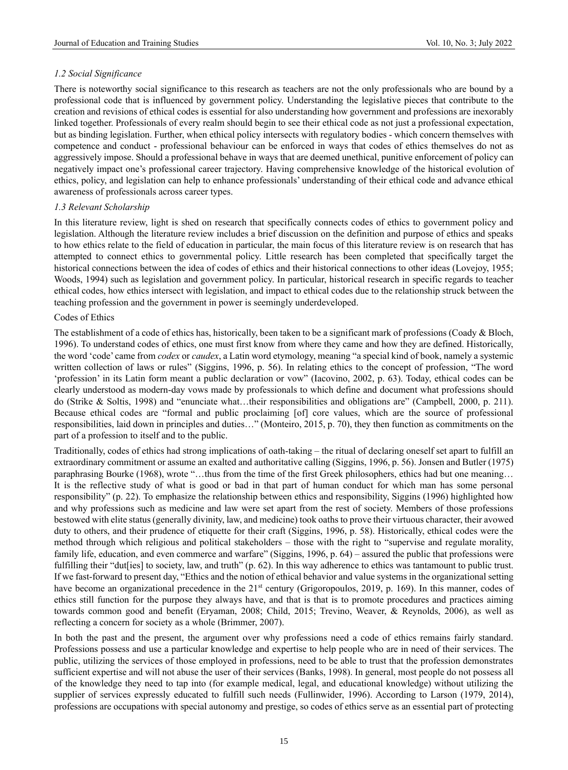## *1.2 Social Significance*

There is noteworthy social significance to this research as teachers are not the only professionals who are bound by a professional code that is influenced by government policy. Understanding the legislative pieces that contribute to the creation and revisions of ethical codes is essential for also understanding how government and professions are inexorably linked together. Professionals of every realm should begin to see their ethical code as not just a professional expectation, but as binding legislation. Further, when ethical policy intersects with regulatory bodies - which concern themselves with competence and conduct - professional behaviour can be enforced in ways that codes of ethics themselves do not as aggressively impose. Should a professional behave in ways that are deemed unethical, punitive enforcement of policy can negatively impact one's professional career trajectory. Having comprehensive knowledge of the historical evolution of ethics, policy, and legislation can help to enhance professionals' understanding of their ethical code and advance ethical awareness of professionals across career types.

## *1.3 Relevant Scholarship*

In this literature review, light is shed on research that specifically connects codes of ethics to government policy and legislation. Although the literature review includes a brief discussion on the definition and purpose of ethics and speaks to how ethics relate to the field of education in particular, the main focus of this literature review is on research that has attempted to connect ethics to governmental policy. Little research has been completed that specifically target the historical connections between the idea of codes of ethics and their historical connections to other ideas (Lovejoy, 1955; Woods, 1994) such as legislation and government policy. In particular, historical research in specific regards to teacher ethical codes, how ethics intersect with legislation, and impact to ethical codes due to the relationship struck between the teaching profession and the government in power is seemingly underdeveloped.

## Codes of Ethics

The establishment of a code of ethics has, historically, been taken to be a significant mark of professions (Coady & Bloch, 1996). To understand codes of ethics, one must first know from where they came and how they are defined. Historically, the word 'code' came from *codex* or *caudex*, a Latin word etymology, meaning "a special kind of book, namely a systemic written collection of laws or rules" (Siggins, 1996, p. 56). In relating ethics to the concept of profession, "The word 'profession' in its Latin form meant a public declaration or vow" (Iacovino, 2002, p. 63). Today, ethical codes can be clearly understood as modern-day vows made by professionals to which define and document what professions should do (Strike & Soltis, 1998) and "enunciate what…their responsibilities and obligations are" (Campbell, 2000, p. 211). Because ethical codes are "formal and public proclaiming [of] core values, which are the source of professional responsibilities, laid down in principles and duties…" (Monteiro, 2015, p. 70), they then function as commitments on the part of a profession to itself and to the public.

Traditionally, codes of ethics had strong implications of oath-taking – the ritual of declaring oneself set apart to fulfill an extraordinary commitment or assume an exalted and authoritative calling (Siggins, 1996, p. 56). Jonsen and Butler (1975) paraphrasing Bourke (1968), wrote "…thus from the time of the first Greek philosophers, ethics had but one meaning… It is the reflective study of what is good or bad in that part of human conduct for which man has some personal responsibility" (p. 22). To emphasize the relationship between ethics and responsibility, Siggins (1996) highlighted how and why professions such as medicine and law were set apart from the rest of society. Members of those professions bestowed with elite status (generally divinity, law, and medicine) took oaths to prove their virtuous character, their avowed duty to others, and their prudence of etiquette for their craft (Siggins, 1996, p. 58). Historically, ethical codes were the method through which religious and political stakeholders – those with the right to "supervise and regulate morality, family life, education, and even commerce and warfare" (Siggins, 1996, p. 64) – assured the public that professions were fulfilling their "dut[ies] to society, law, and truth" (p. 62). In this way adherence to ethics was tantamount to public trust. If we fast-forward to present day, "Ethics and the notion of ethical behavior and value systems in the organizational setting have become an organizational precedence in the 21<sup>st</sup> century (Grigoropoulos, 2019, p. 169). In this manner, codes of ethics still function for the purpose they always have, and that is that is to promote procedures and practices aiming towards common good and benefit (Eryaman, 2008; Child, 2015; Trevino, Weaver, & Reynolds, 2006), as well as reflecting a concern for society as a whole (Brimmer, 2007).

In both the past and the present, the argument over why professions need a code of ethics remains fairly standard. Professions possess and use a particular knowledge and expertise to help people who are in need of their services. The public, utilizing the services of those employed in professions, need to be able to trust that the profession demonstrates sufficient expertise and will not abuse the user of their services (Banks, 1998). In general, most people do not possess all of the knowledge they need to tap into (for example medical, legal, and educational knowledge) without utilizing the supplier of services expressly educated to fulfill such needs (Fullinwider, 1996). According to Larson (1979, 2014), professions are occupations with special autonomy and prestige, so codes of ethics serve as an essential part of protecting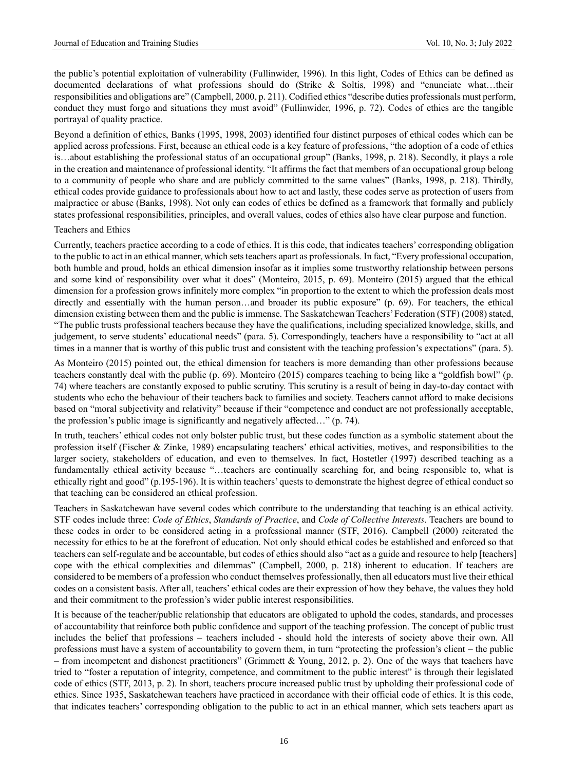the public's potential exploitation of vulnerability (Fullinwider, 1996). In this light, Codes of Ethics can be defined as documented declarations of what professions should do (Strike & Soltis, 1998) and "enunciate what…their responsibilities and obligations are" (Campbell, 2000, p. 211). Codified ethics "describe duties professionals must perform, conduct they must forgo and situations they must avoid" (Fullinwider, 1996, p. 72). Codes of ethics are the tangible portrayal of quality practice.

Beyond a definition of ethics, Banks (1995, 1998, 2003) identified four distinct purposes of ethical codes which can be applied across professions. First, because an ethical code is a key feature of professions, "the adoption of a code of ethics is…about establishing the professional status of an occupational group" (Banks, 1998, p. 218). Secondly, it plays a role in the creation and maintenance of professional identity. "It affirms the fact that members of an occupational group belong to a community of people who share and are publicly committed to the same values" (Banks, 1998, p. 218). Thirdly, ethical codes provide guidance to professionals about how to act and lastly, these codes serve as protection of users from malpractice or abuse (Banks, 1998). Not only can codes of ethics be defined as a framework that formally and publicly states professional responsibilities, principles, and overall values, codes of ethics also have clear purpose and function.

#### Teachers and Ethics

Currently, teachers practice according to a code of ethics. It is this code, that indicates teachers' corresponding obligation to the public to act in an ethical manner, which sets teachers apart as professionals. In fact, "Every professional occupation, both humble and proud, holds an ethical dimension insofar as it implies some trustworthy relationship between persons and some kind of responsibility over what it does" (Monteiro, 2015, p. 69). Monteiro (2015) argued that the ethical dimension for a profession grows infinitely more complex "in proportion to the extent to which the profession deals most directly and essentially with the human person...and broader its public exposure" (p. 69). For teachers, the ethical dimension existing between them and the public is immense. The Saskatchewan Teachers' Federation (STF) (2008) stated, "The public trusts professional teachers because they have the qualifications, including specialized knowledge, skills, and judgement, to serve students' educational needs" (para. 5). Correspondingly, teachers have a responsibility to "act at all times in a manner that is worthy of this public trust and consistent with the teaching profession's expectations" (para. 5).

As Monteiro (2015) pointed out, the ethical dimension for teachers is more demanding than other professions because teachers constantly deal with the public (p. 69). Monteiro (2015) compares teaching to being like a "goldfish bowl" (p. 74) where teachers are constantly exposed to public scrutiny. This scrutiny is a result of being in day-to-day contact with students who echo the behaviour of their teachers back to families and society. Teachers cannot afford to make decisions based on "moral subjectivity and relativity" because if their "competence and conduct are not professionally acceptable, the profession's public image is significantly and negatively affected…" (p. 74).

In truth, teachers' ethical codes not only bolster public trust, but these codes function as a symbolic statement about the profession itself (Fischer & Zinke, 1989) encapsulating teachers' ethical activities, motives, and responsibilities to the larger society, stakeholders of education, and even to themselves. In fact, Hostetler (1997) described teaching as a fundamentally ethical activity because "…teachers are continually searching for, and being responsible to, what is ethically right and good" (p.195-196). It is within teachers' quests to demonstrate the highest degree of ethical conduct so that teaching can be considered an ethical profession.

Teachers in Saskatchewan have several codes which contribute to the understanding that teaching is an ethical activity. STF codes include three: *Code of Ethics*, *Standards of Practice*, and *Code of Collective Interests*. Teachers are bound to these codes in order to be considered acting in a professional manner (STF, 2016). Campbell (2000) reiterated the necessity for ethics to be at the forefront of education. Not only should ethical codes be established and enforced so that teachers can self-regulate and be accountable, but codes of ethics should also "act as a guide and resource to help [teachers] cope with the ethical complexities and dilemmas" (Campbell, 2000, p. 218) inherent to education. If teachers are considered to be members of a profession who conduct themselves professionally, then all educators must live their ethical codes on a consistent basis. After all, teachers' ethical codes are their expression of how they behave, the values they hold and their commitment to the profession's wider public interest responsibilities.

It is because of the teacher/public relationship that educators are obligated to uphold the codes, standards, and processes of accountability that reinforce both public confidence and support of the teaching profession. The concept of public trust includes the belief that professions – teachers included - should hold the interests of society above their own. All professions must have a system of accountability to govern them, in turn "protecting the profession's client – the public – from incompetent and dishonest practitioners" (Grimmett & Young, 2012, p. 2). One of the ways that teachers have tried to "foster a reputation of integrity, competence, and commitment to the public interest" is through their legislated code of ethics (STF, 2013, p. 2). In short, teachers procure increased public trust by upholding their professional code of ethics. Since 1935, Saskatchewan teachers have practiced in accordance with their official code of ethics. It is this code, that indicates teachers' corresponding obligation to the public to act in an ethical manner, which sets teachers apart as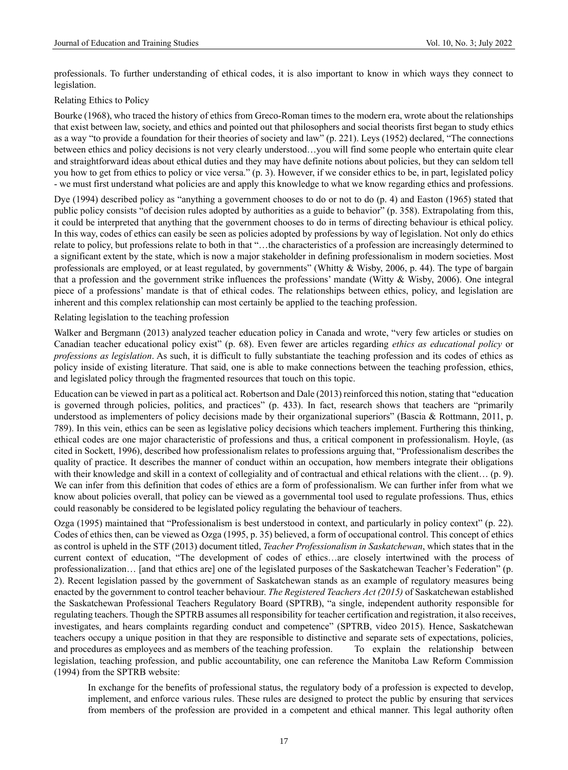professionals. To further understanding of ethical codes, it is also important to know in which ways they connect to legislation.

Relating Ethics to Policy

Bourke (1968), who traced the history of ethics from Greco-Roman times to the modern era, wrote about the relationships that exist between law, society, and ethics and pointed out that philosophers and social theorists first began to study ethics as a way "to provide a foundation for their theories of society and law" (p. 221). Leys (1952) declared, "The connections between ethics and policy decisions is not very clearly understood…you will find some people who entertain quite clear and straightforward ideas about ethical duties and they may have definite notions about policies, but they can seldom tell you how to get from ethics to policy or vice versa." (p. 3). However, if we consider ethics to be, in part, legislated policy - we must first understand what policies are and apply this knowledge to what we know regarding ethics and professions.

Dye (1994) described policy as "anything a government chooses to do or not to do (p. 4) and Easton (1965) stated that public policy consists "of decision rules adopted by authorities as a guide to behavior" (p. 358). Extrapolating from this, it could be interpreted that anything that the government chooses to do in terms of directing behaviour is ethical policy. In this way, codes of ethics can easily be seen as policies adopted by professions by way of legislation. Not only do ethics relate to policy, but professions relate to both in that "…the characteristics of a profession are increasingly determined to a significant extent by the state, which is now a major stakeholder in defining professionalism in modern societies. Most professionals are employed, or at least regulated, by governments" (Whitty & Wisby, 2006, p. 44). The type of bargain that a profession and the government strike influences the professions' mandate (Witty & Wisby, 2006). One integral piece of a professions' mandate is that of ethical codes. The relationships between ethics, policy, and legislation are inherent and this complex relationship can most certainly be applied to the teaching profession.

### Relating legislation to the teaching profession

Walker and Bergmann (2013) analyzed teacher education policy in Canada and wrote, "very few articles or studies on Canadian teacher educational policy exist" (p. 68). Even fewer are articles regarding *ethics as educational policy* or *professions as legislation*. As such, it is difficult to fully substantiate the teaching profession and its codes of ethics as policy inside of existing literature. That said, one is able to make connections between the teaching profession, ethics, and legislated policy through the fragmented resources that touch on this topic.

Education can be viewed in part as a political act. Robertson and Dale (2013) reinforced this notion, stating that "education is governed through policies, politics, and practices" (p. 433). In fact, research shows that teachers are "primarily understood as implementers of policy decisions made by their organizational superiors" (Bascia & Rottmann, 2011, p. 789). In this vein, ethics can be seen as legislative policy decisions which teachers implement. Furthering this thinking, ethical codes are one major characteristic of professions and thus, a critical component in professionalism. Hoyle, (as cited in Sockett, 1996), described how professionalism relates to professions arguing that, "Professionalism describes the quality of practice. It describes the manner of conduct within an occupation, how members integrate their obligations with their knowledge and skill in a context of collegiality and of contractual and ethical relations with the client... (p. 9). We can infer from this definition that codes of ethics are a form of professionalism. We can further infer from what we know about policies overall, that policy can be viewed as a governmental tool used to regulate professions. Thus, ethics could reasonably be considered to be legislated policy regulating the behaviour of teachers.

Ozga (1995) maintained that "Professionalism is best understood in context, and particularly in policy context" (p. 22). Codes of ethics then, can be viewed as Ozga (1995, p. 35) believed, a form of occupational control. This concept of ethics as control is upheld in the STF (2013) document titled, *Teacher Professionalism in Saskatchewan*, which states that in the current context of education, "The development of codes of ethics…are closely intertwined with the process of professionalization… [and that ethics are] one of the legislated purposes of the Saskatchewan Teacher's Federation" (p. 2). Recent legislation passed by the government of Saskatchewan stands as an example of regulatory measures being enacted by the government to control teacher behaviour. *The Registered Teachers Act (2015)* of Saskatchewan established the Saskatchewan Professional Teachers Regulatory Board (SPTRB), "a single, independent authority responsible for regulating teachers. Though the SPTRB assumes all responsibility for teacher certification and registration, it also receives, investigates, and hears complaints regarding conduct and competence" (SPTRB, video 2015). Hence, Saskatchewan teachers occupy a unique position in that they are responsible to distinctive and separate sets of expectations, policies, and procedures as employees and as members of the teaching profession. To explain the relationship between legislation, teaching profession, and public accountability, one can reference the Manitoba Law Reform Commission (1994) from the SPTRB website:

In exchange for the benefits of professional status, the regulatory body of a profession is expected to develop, implement, and enforce various rules. These rules are designed to protect the public by ensuring that services from members of the profession are provided in a competent and ethical manner. This legal authority often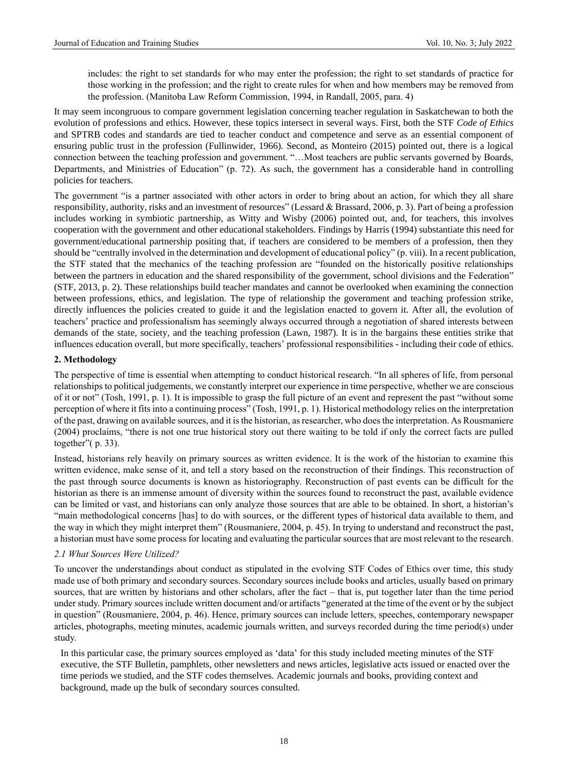includes: the right to set standards for who may enter the profession; the right to set standards of practice for those working in the profession; and the right to create rules for when and how members may be removed from the profession. (Manitoba Law Reform Commission, 1994, in Randall, 2005, para. 4)

It may seem incongruous to compare government legislation concerning teacher regulation in Saskatchewan to both the evolution of professions and ethics. However, these topics intersect in several ways. First, both the STF *Code of Ethics* and SPTRB codes and standards are tied to teacher conduct and competence and serve as an essential component of ensuring public trust in the profession (Fullinwider, 1966). Second, as Monteiro (2015) pointed out, there is a logical connection between the teaching profession and government. "…Most teachers are public servants governed by Boards, Departments, and Ministries of Education" (p. 72). As such, the government has a considerable hand in controlling policies for teachers.

The government "is a partner associated with other actors in order to bring about an action, for which they all share responsibility, authority, risks and an investment of resources" (Lessard & Brassard, 2006, p. 3). Part of being a profession includes working in symbiotic partnership, as Witty and Wisby (2006) pointed out, and, for teachers, this involves cooperation with the government and other educational stakeholders. Findings by Harris (1994) substantiate this need for government/educational partnership positing that, if teachers are considered to be members of a profession, then they should be "centrally involved in the determination and development of educational policy" (p. viii). In a recent publication, the STF stated that the mechanics of the teaching profession are "founded on the historically positive relationships between the partners in education and the shared responsibility of the government, school divisions and the Federation" (STF, 2013, p. 2). These relationships build teacher mandates and cannot be overlooked when examining the connection between professions, ethics, and legislation. The type of relationship the government and teaching profession strike, directly influences the policies created to guide it and the legislation enacted to govern it. After all, the evolution of teachers' practice and professionalism has seemingly always occurred through a negotiation of shared interests between demands of the state, society, and the teaching profession (Lawn, 1987). It is in the bargains these entities strike that influences education overall, but more specifically, teachers' professional responsibilities - including their code of ethics.

## **2. Methodology**

The perspective of time is essential when attempting to conduct historical research. "In all spheres of life, from personal relationships to political judgements, we constantly interpret our experience in time perspective, whether we are conscious of it or not" (Tosh, 1991, p. 1). It is impossible to grasp the full picture of an event and represent the past "without some perception of where it fits into a continuing process" (Tosh, 1991, p. 1). Historical methodology relies on the interpretation of the past, drawing on available sources, and it is the historian, as researcher, who does the interpretation. As Rousmaniere (2004) proclaims, "there is not one true historical story out there waiting to be told if only the correct facts are pulled together"( p. 33).

Instead, historians rely heavily on primary sources as written evidence. It is the work of the historian to examine this written evidence, make sense of it, and tell a story based on the reconstruction of their findings. This reconstruction of the past through source documents is known as historiography. Reconstruction of past events can be difficult for the historian as there is an immense amount of diversity within the sources found to reconstruct the past, available evidence can be limited or vast, and historians can only analyze those sources that are able to be obtained. In short, a historian's "main methodological concerns [has] to do with sources, or the different types of historical data available to them, and the way in which they might interpret them" (Rousmaniere, 2004, p. 45). In trying to understand and reconstruct the past, a historian must have some process for locating and evaluating the particular sources that are most relevant to the research.

## *2.1 What Sources Were Utilized?*

To uncover the understandings about conduct as stipulated in the evolving STF Codes of Ethics over time, this study made use of both primary and secondary sources. Secondary sources include books and articles, usually based on primary sources, that are written by historians and other scholars, after the fact – that is, put together later than the time period under study. Primary sources include written document and/or artifacts "generated at the time of the event or by the subject in question" (Rousmaniere, 2004, p. 46). Hence, primary sources can include letters, speeches, contemporary newspaper articles, photographs, meeting minutes, academic journals written, and surveys recorded during the time period(s) under study.

In this particular case, the primary sources employed as 'data' for this study included meeting minutes of the STF executive, the STF Bulletin, pamphlets, other newsletters and news articles, legislative acts issued or enacted over the time periods we studied, and the STF codes themselves. Academic journals and books, providing context and background, made up the bulk of secondary sources consulted.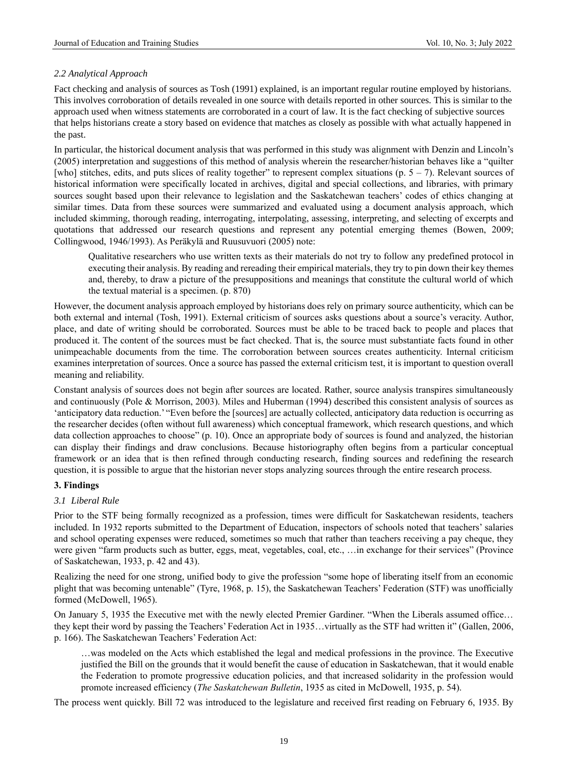# *2.2 Analytical Approach*

Fact checking and analysis of sources as Tosh (1991) explained, is an important regular routine employed by historians. This involves corroboration of details revealed in one source with details reported in other sources. This is similar to the approach used when witness statements are corroborated in a court of law. It is the fact checking of subjective sources that helps historians create a story based on evidence that matches as closely as possible with what actually happened in the past.

In particular, the historical document analysis that was performed in this study was alignment with Denzin and Lincoln's (2005) interpretation and suggestions of this method of analysis wherein the researcher/historian behaves like a "quilter [who] stitches, edits, and puts slices of reality together" to represent complex situations (p.  $5 - 7$ ). Relevant sources of historical information were specifically located in archives, digital and special collections, and libraries, with primary sources sought based upon their relevance to legislation and the Saskatchewan teachers' codes of ethics changing at similar times. Data from these sources were summarized and evaluated using a document analysis approach, which included skimming, thorough reading, interrogating, interpolating, assessing, interpreting, and selecting of excerpts and quotations that addressed our research questions and represent any potential emerging themes (Bowen, 2009; Collingwood, 1946/1993). As Peräkylä and Ruusuvuori (2005) note:

Qualitative researchers who use written texts as their materials do not try to follow any predefined protocol in executing their analysis. By reading and rereading their empirical materials, they try to pin down their key themes and, thereby, to draw a picture of the presuppositions and meanings that constitute the cultural world of which the textual material is a specimen. (p. 870)

However, the document analysis approach employed by historians does rely on primary source authenticity, which can be both external and internal (Tosh, 1991). External criticism of sources asks questions about a source's veracity. Author, place, and date of writing should be corroborated. Sources must be able to be traced back to people and places that produced it. The content of the sources must be fact checked. That is, the source must substantiate facts found in other unimpeachable documents from the time. The corroboration between sources creates authenticity. Internal criticism examines interpretation of sources. Once a source has passed the external criticism test, it is important to question overall meaning and reliability.

Constant analysis of sources does not begin after sources are located. Rather, source analysis transpires simultaneously and continuously (Pole & Morrison, 2003). Miles and Huberman (1994) described this consistent analysis of sources as 'anticipatory data reduction.' "Even before the [sources] are actually collected, anticipatory data reduction is occurring as the researcher decides (often without full awareness) which conceptual framework, which research questions, and which data collection approaches to choose" (p. 10). Once an appropriate body of sources is found and analyzed, the historian can display their findings and draw conclusions. Because historiography often begins from a particular conceptual framework or an idea that is then refined through conducting research, finding sources and redefining the research question, it is possible to argue that the historian never stops analyzing sources through the entire research process.

# **3. Findings**

# *3.1 Liberal Rule*

Prior to the STF being formally recognized as a profession, times were difficult for Saskatchewan residents, teachers included. In 1932 reports submitted to the Department of Education, inspectors of schools noted that teachers' salaries and school operating expenses were reduced, sometimes so much that rather than teachers receiving a pay cheque, they were given "farm products such as butter, eggs, meat, vegetables, coal, etc., …in exchange for their services" (Province of Saskatchewan, 1933, p. 42 and 43).

Realizing the need for one strong, unified body to give the profession "some hope of liberating itself from an economic plight that was becoming untenable" (Tyre, 1968, p. 15), the Saskatchewan Teachers' Federation (STF) was unofficially formed (McDowell, 1965).

On January 5, 1935 the Executive met with the newly elected Premier Gardiner. "When the Liberals assumed office… they kept their word by passing the Teachers' Federation Act in 1935…virtually as the STF had written it" (Gallen, 2006, p. 166). The Saskatchewan Teachers' Federation Act:

…was modeled on the Acts which established the legal and medical professions in the province. The Executive justified the Bill on the grounds that it would benefit the cause of education in Saskatchewan, that it would enable the Federation to promote progressive education policies, and that increased solidarity in the profession would promote increased efficiency (*The Saskatchewan Bulletin*, 1935 as cited in McDowell, 1935, p. 54).

The process went quickly. Bill 72 was introduced to the legislature and received first reading on February 6, 1935. By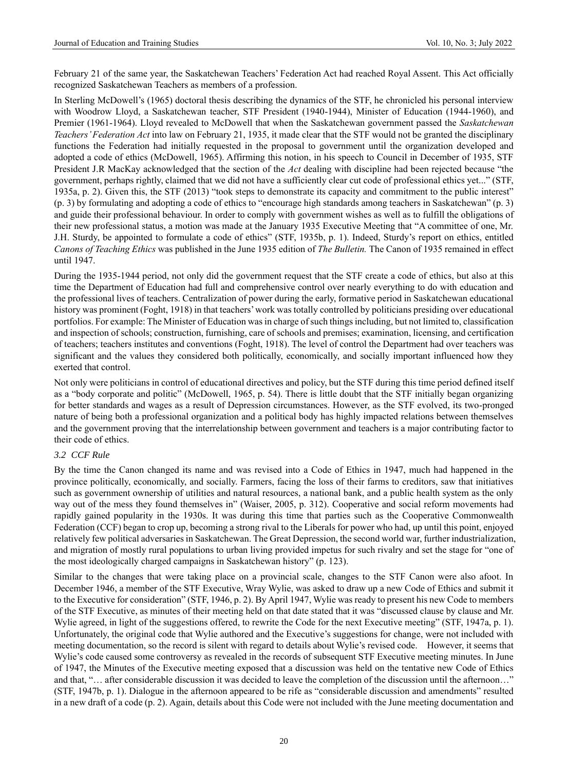February 21 of the same year, the Saskatchewan Teachers' Federation Act had reached Royal Assent. This Act officially recognized Saskatchewan Teachers as members of a profession.

In Sterling McDowell's (1965) doctoral thesis describing the dynamics of the STF, he chronicled his personal interview with Woodrow Lloyd, a Saskatchewan teacher, STF President (1940-1944), Minister of Education (1944-1960), and Premier (1961-1964). Lloyd revealed to McDowell that when the Saskatchewan government passed the *Saskatchewan Teachers' Federation Act* into law on February 21, 1935, it made clear that the STF would not be granted the disciplinary functions the Federation had initially requested in the proposal to government until the organization developed and adopted a code of ethics (McDowell, 1965). Affirming this notion, in his speech to Council in December of 1935, STF President J.R MacKay acknowledged that the section of the *Act* dealing with discipline had been rejected because "the government, perhaps rightly, claimed that we did not have a sufficiently clear cut code of professional ethics yet..." (STF, 1935a, p. 2). Given this, the STF (2013) "took steps to demonstrate its capacity and commitment to the public interest" (p. 3) by formulating and adopting a code of ethics to "encourage high standards among teachers in Saskatchewan" (p. 3) and guide their professional behaviour. In order to comply with government wishes as well as to fulfill the obligations of their new professional status, a motion was made at the January 1935 Executive Meeting that "A committee of one, Mr. J.H. Sturdy, be appointed to formulate a code of ethics" (STF, 1935b, p. 1). Indeed, Sturdy's report on ethics, entitled *Canons of Teaching Ethics* was published in the June 1935 edition of *The Bulletin.* The Canon of 1935 remained in effect until 1947.

During the 1935-1944 period, not only did the government request that the STF create a code of ethics, but also at this time the Department of Education had full and comprehensive control over nearly everything to do with education and the professional lives of teachers. Centralization of power during the early, formative period in Saskatchewan educational history was prominent (Foght, 1918) in that teachers' work was totally controlled by politicians presiding over educational portfolios. For example: The Minister of Education was in charge of such things including, but not limited to, classification and inspection of schools; construction, furnishing, care of schools and premises; examination, licensing, and certification of teachers; teachers institutes and conventions (Foght, 1918). The level of control the Department had over teachers was significant and the values they considered both politically, economically, and socially important influenced how they exerted that control.

Not only were politicians in control of educational directives and policy, but the STF during this time period defined itself as a "body corporate and politic" (McDowell, 1965, p. 54). There is little doubt that the STF initially began organizing for better standards and wages as a result of Depression circumstances. However, as the STF evolved, its two-pronged nature of being both a professional organization and a political body has highly impacted relations between themselves and the government proving that the interrelationship between government and teachers is a major contributing factor to their code of ethics.

# *3.2 CCF Rule*

By the time the Canon changed its name and was revised into a Code of Ethics in 1947, much had happened in the province politically, economically, and socially. Farmers, facing the loss of their farms to creditors, saw that initiatives such as government ownership of utilities and natural resources, a national bank, and a public health system as the only way out of the mess they found themselves in" (Waiser, 2005, p. 312). Cooperative and social reform movements had rapidly gained popularity in the 1930s. It was during this time that parties such as the Cooperative Commonwealth Federation (CCF) began to crop up, becoming a strong rival to the Liberals for power who had, up until this point, enjoyed relatively few political adversaries in Saskatchewan. The Great Depression, the second world war, further industrialization, and migration of mostly rural populations to urban living provided impetus for such rivalry and set the stage for "one of the most ideologically charged campaigns in Saskatchewan history" (p. 123).

Similar to the changes that were taking place on a provincial scale, changes to the STF Canon were also afoot. In December 1946, a member of the STF Executive, Wray Wylie, was asked to draw up a new Code of Ethics and submit it to the Executive for consideration" (STF, 1946, p. 2). By April 1947, Wylie was ready to present his new Code to members of the STF Executive, as minutes of their meeting held on that date stated that it was "discussed clause by clause and Mr. Wylie agreed, in light of the suggestions offered, to rewrite the Code for the next Executive meeting" (STF, 1947a, p. 1). Unfortunately, the original code that Wylie authored and the Executive's suggestions for change, were not included with meeting documentation, so the record is silent with regard to details about Wylie's revised code. However, it seems that Wylie's code caused some controversy as revealed in the records of subsequent STF Executive meeting minutes. In June of 1947, the Minutes of the Executive meeting exposed that a discussion was held on the tentative new Code of Ethics and that, "… after considerable discussion it was decided to leave the completion of the discussion until the afternoon…" (STF, 1947b, p. 1). Dialogue in the afternoon appeared to be rife as "considerable discussion and amendments" resulted in a new draft of a code (p. 2). Again, details about this Code were not included with the June meeting documentation and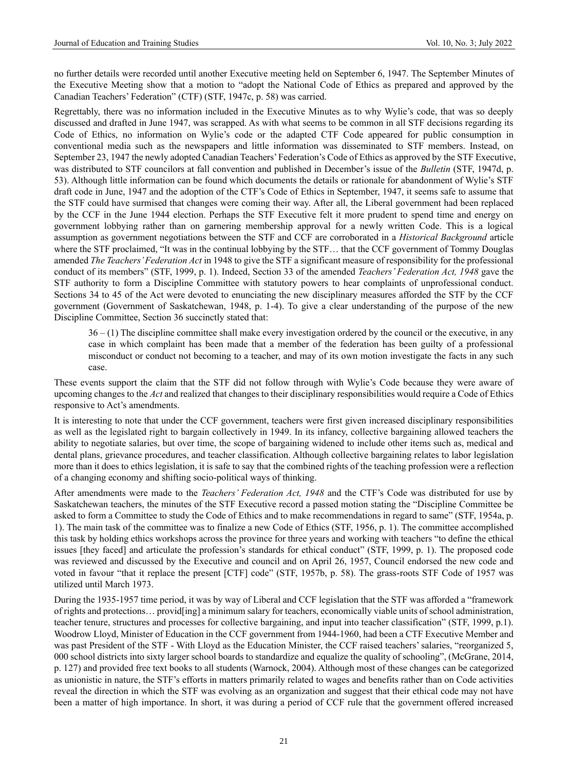no further details were recorded until another Executive meeting held on September 6, 1947. The September Minutes of the Executive Meeting show that a motion to "adopt the National Code of Ethics as prepared and approved by the Canadian Teachers' Federation" (CTF) (STF, 1947c, p. 58) was carried.

Regrettably, there was no information included in the Executive Minutes as to why Wylie's code, that was so deeply discussed and drafted in June 1947, was scrapped. As with what seems to be common in all STF decisions regarding its Code of Ethics, no information on Wylie's code or the adapted CTF Code appeared for public consumption in conventional media such as the newspapers and little information was disseminated to STF members. Instead, on September 23, 1947 the newly adopted Canadian Teachers' Federation's Code of Ethics as approved by the STF Executive, was distributed to STF councilors at fall convention and published in December's issue of the *Bulletin* (STF, 1947d, p. 53). Although little information can be found which documents the details or rationale for abandonment of Wylie's STF draft code in June, 1947 and the adoption of the CTF's Code of Ethics in September, 1947, it seems safe to assume that the STF could have surmised that changes were coming their way. After all, the Liberal government had been replaced by the CCF in the June 1944 election. Perhaps the STF Executive felt it more prudent to spend time and energy on government lobbying rather than on garnering membership approval for a newly written Code. This is a logical assumption as government negotiations between the STF and CCF are corroborated in a *Historical Background* article where the STF proclaimed, "It was in the continual lobbying by the STF… that the CCF government of Tommy Douglas amended *The Teachers' Federation Act* in 1948 to give the STF a significant measure of responsibility for the professional conduct of its members" (STF, 1999, p. 1). Indeed, Section 33 of the amended *Teachers' Federation Act, 1948* gave the STF authority to form a Discipline Committee with statutory powers to hear complaints of unprofessional conduct. Sections 34 to 45 of the Act were devoted to enunciating the new disciplinary measures afforded the STF by the CCF government (Government of Saskatchewan, 1948, p. 1-4). To give a clear understanding of the purpose of the new Discipline Committee, Section 36 succinctly stated that:

 $36 - (1)$  The discipline committee shall make every investigation ordered by the council or the executive, in any case in which complaint has been made that a member of the federation has been guilty of a professional misconduct or conduct not becoming to a teacher, and may of its own motion investigate the facts in any such case.

These events support the claim that the STF did not follow through with Wylie's Code because they were aware of upcoming changes to the *Act* and realized that changes to their disciplinary responsibilities would require a Code of Ethics responsive to Act's amendments.

It is interesting to note that under the CCF government, teachers were first given increased disciplinary responsibilities as well as the legislated right to bargain collectively in 1949. In its infancy, collective bargaining allowed teachers the ability to negotiate salaries, but over time, the scope of bargaining widened to include other items such as, medical and dental plans, grievance procedures, and teacher classification. Although collective bargaining relates to labor legislation more than it does to ethics legislation, it is safe to say that the combined rights of the teaching profession were a reflection of a changing economy and shifting socio-political ways of thinking.

After amendments were made to the *Teachers' Federation Act, 1948* and the CTF's Code was distributed for use by Saskatchewan teachers, the minutes of the STF Executive record a passed motion stating the "Discipline Committee be asked to form a Committee to study the Code of Ethics and to make recommendations in regard to same" (STF, 1954a, p. 1). The main task of the committee was to finalize a new Code of Ethics (STF, 1956, p. 1). The committee accomplished this task by holding ethics workshops across the province for three years and working with teachers "to define the ethical issues [they faced] and articulate the profession's standards for ethical conduct" (STF, 1999, p. 1). The proposed code was reviewed and discussed by the Executive and council and on April 26, 1957, Council endorsed the new code and voted in favour "that it replace the present [CTF] code" (STF, 1957b, p. 58). The grass-roots STF Code of 1957 was utilized until March 1973.

During the 1935-1957 time period, it was by way of Liberal and CCF legislation that the STF was afforded a "framework of rights and protections… provid[ing] a minimum salary for teachers, economically viable units of school administration, teacher tenure, structures and processes for collective bargaining, and input into teacher classification" (STF, 1999, p.1). Woodrow Lloyd, Minister of Education in the CCF government from 1944-1960, had been a CTF Executive Member and was past President of the STF - With Lloyd as the Education Minister, the CCF raised teachers' salaries, "reorganized 5, 000 school districts into sixty larger school boards to standardize and equalize the quality of schooling", (McGrane, 2014, p. 127) and provided free text books to all students (Warnock, 2004). Although most of these changes can be categorized as unionistic in nature, the STF's efforts in matters primarily related to wages and benefits rather than on Code activities reveal the direction in which the STF was evolving as an organization and suggest that their ethical code may not have been a matter of high importance. In short, it was during a period of CCF rule that the government offered increased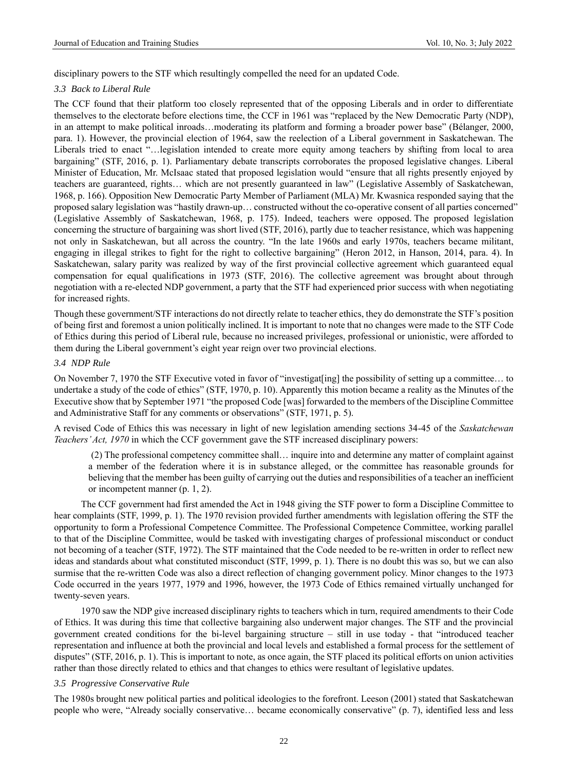disciplinary powers to the STF which resultingly compelled the need for an updated Code.

## *3.3 Back to Liberal Rule*

The CCF found that their platform too closely represented that of the opposing Liberals and in order to differentiate themselves to the electorate before elections time, the CCF in 1961 was "replaced by the New Democratic Party (NDP), in an attempt to make political inroads…moderating its platform and forming a broader power base" (Bélanger, 2000, para. 1). However, the provincial election of 1964, saw the reelection of a Liberal government in Saskatchewan. The Liberals tried to enact "…legislation intended to create more equity among teachers by shifting from local to area bargaining" (STF, 2016, p. 1). Parliamentary debate transcripts corroborates the proposed legislative changes. Liberal Minister of Education, Mr. McIsaac stated that proposed legislation would "ensure that all rights presently enjoyed by teachers are guaranteed, rights… which are not presently guaranteed in law" (Legislative Assembly of Saskatchewan, 1968, p. 166). Opposition New Democratic Party Member of Parliament (MLA) Mr. Kwasnica responded saying that the proposed salary legislation was "hastily drawn-up… constructed without the co-operative consent of all parties concerned" (Legislative Assembly of Saskatchewan, 1968, p. 175). Indeed, teachers were opposed. The proposed legislation concerning the structure of bargaining was short lived (STF, 2016), partly due to teacher resistance, which was happening not only in Saskatchewan, but all across the country. "In the late 1960s and early 1970s, teachers became militant, engaging in illegal strikes to fight for the right to collective bargaining" (Heron 2012, in Hanson, 2014, para. 4). In Saskatchewan, salary parity was realized by way of the first provincial collective agreement which guaranteed equal compensation for equal qualifications in 1973 (STF, 2016). The collective agreement was brought about through negotiation with a re-elected NDP government, a party that the STF had experienced prior success with when negotiating for increased rights.

Though these government/STF interactions do not directly relate to teacher ethics, they do demonstrate the STF's position of being first and foremost a union politically inclined. It is important to note that no changes were made to the STF Code of Ethics during this period of Liberal rule, because no increased privileges, professional or unionistic, were afforded to them during the Liberal government's eight year reign over two provincial elections.

## *3.4 NDP Rule*

On November 7, 1970 the STF Executive voted in favor of "investigat[ing] the possibility of setting up a committee... to undertake a study of the code of ethics" (STF, 1970, p. 10). Apparently this motion became a reality as the Minutes of the Executive show that by September 1971 "the proposed Code [was] forwarded to the members of the Discipline Committee and Administrative Staff for any comments or observations" (STF, 1971, p. 5).

A revised Code of Ethics this was necessary in light of new legislation amending sections 34-45 of the *Saskatchewan Teachers' Act, 1970* in which the CCF government gave the STF increased disciplinary powers:

(2) The professional competency committee shall… inquire into and determine any matter of complaint against a member of the federation where it is in substance alleged, or the committee has reasonable grounds for believing that the member has been guilty of carrying out the duties and responsibilities of a teacher an inefficient or incompetent manner (p. 1, 2).

The CCF government had first amended the Act in 1948 giving the STF power to form a Discipline Committee to hear complaints (STF, 1999, p. 1). The 1970 revision provided further amendments with legislation offering the STF the opportunity to form a Professional Competence Committee. The Professional Competence Committee, working parallel to that of the Discipline Committee, would be tasked with investigating charges of professional misconduct or conduct not becoming of a teacher (STF, 1972). The STF maintained that the Code needed to be re-written in order to reflect new ideas and standards about what constituted misconduct (STF, 1999, p. 1). There is no doubt this was so, but we can also surmise that the re-written Code was also a direct reflection of changing government policy. Minor changes to the 1973 Code occurred in the years 1977, 1979 and 1996, however, the 1973 Code of Ethics remained virtually unchanged for twenty-seven years.

1970 saw the NDP give increased disciplinary rights to teachers which in turn, required amendments to their Code of Ethics. It was during this time that collective bargaining also underwent major changes. The STF and the provincial government created conditions for the bi-level bargaining structure – still in use today - that "introduced teacher representation and influence at both the provincial and local levels and established a formal process for the settlement of disputes" (STF, 2016, p. 1). This is important to note, as once again, the STF placed its political efforts on union activities rather than those directly related to ethics and that changes to ethics were resultant of legislative updates.

## *3.5 Progressive Conservative Rule*

The 1980s brought new political parties and political ideologies to the forefront. Leeson (2001) stated that Saskatchewan people who were, "Already socially conservative… became economically conservative" (p. 7), identified less and less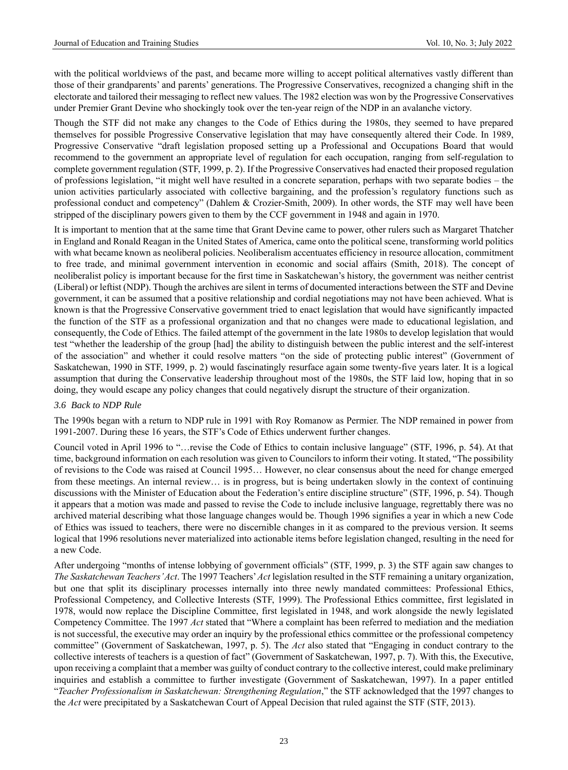with the political worldviews of the past, and became more willing to accept political alternatives vastly different than those of their grandparents' and parents' generations. The Progressive Conservatives, recognized a changing shift in the electorate and tailored their messaging to reflect new values. The 1982 election was won by the Progressive Conservatives under Premier Grant Devine who shockingly took over the ten-year reign of the NDP in an avalanche victory.

Though the STF did not make any changes to the Code of Ethics during the 1980s, they seemed to have prepared themselves for possible Progressive Conservative legislation that may have consequently altered their Code. In 1989, Progressive Conservative "draft legislation proposed setting up a Professional and Occupations Board that would recommend to the government an appropriate level of regulation for each occupation, ranging from self-regulation to complete government regulation (STF, 1999, p. 2). If the Progressive Conservatives had enacted their proposed regulation of professions legislation, "it might well have resulted in a concrete separation, perhaps with two separate bodies – the union activities particularly associated with collective bargaining, and the profession's regulatory functions such as professional conduct and competency" (Dahlem & Crozier-Smith, 2009). In other words, the STF may well have been stripped of the disciplinary powers given to them by the CCF government in 1948 and again in 1970.

It is important to mention that at the same time that Grant Devine came to power, other rulers such as Margaret Thatcher in England and Ronald Reagan in the United States of America, came onto the political scene, transforming world politics with what became known as neoliberal policies. Neoliberalism accentuates efficiency in resource allocation, commitment to free trade, and minimal government intervention in economic and social affairs (Smith, 2018). The concept of neoliberalist policy is important because for the first time in Saskatchewan's history, the government was neither centrist (Liberal) or leftist (NDP). Though the archives are silent in terms of documented interactions between the STF and Devine government, it can be assumed that a positive relationship and cordial negotiations may not have been achieved. What is known is that the Progressive Conservative government tried to enact legislation that would have significantly impacted the function of the STF as a professional organization and that no changes were made to educational legislation, and consequently, the Code of Ethics. The failed attempt of the government in the late 1980s to develop legislation that would test "whether the leadership of the group [had] the ability to distinguish between the public interest and the self-interest of the association" and whether it could resolve matters "on the side of protecting public interest" (Government of Saskatchewan, 1990 in STF, 1999, p. 2) would fascinatingly resurface again some twenty-five years later. It is a logical assumption that during the Conservative leadership throughout most of the 1980s, the STF laid low, hoping that in so doing, they would escape any policy changes that could negatively disrupt the structure of their organization.

## *3.6 Back to NDP Rule*

The 1990s began with a return to NDP rule in 1991 with Roy Romanow as Permier. The NDP remained in power from 1991-2007. During these 16 years, the STF's Code of Ethics underwent further changes.

Council voted in April 1996 to "…revise the Code of Ethics to contain inclusive language" (STF, 1996, p. 54). At that time, background information on each resolution was given to Councilors to inform their voting. It stated, "The possibility of revisions to the Code was raised at Council 1995… However, no clear consensus about the need for change emerged from these meetings. An internal review… is in progress, but is being undertaken slowly in the context of continuing discussions with the Minister of Education about the Federation's entire discipline structure" (STF, 1996, p. 54). Though it appears that a motion was made and passed to revise the Code to include inclusive language, regrettably there was no archived material describing what those language changes would be. Though 1996 signifies a year in which a new Code of Ethics was issued to teachers, there were no discernible changes in it as compared to the previous version. It seems logical that 1996 resolutions never materialized into actionable items before legislation changed, resulting in the need for a new Code.

After undergoing "months of intense lobbying of government officials" (STF, 1999, p. 3) the STF again saw changes to *The Saskatchewan Teachers' Act*. The 1997 Teachers' *Act* legislation resulted in the STF remaining a unitary organization, but one that split its disciplinary processes internally into three newly mandated committees: Professional Ethics, Professional Competency, and Collective Interests (STF, 1999). The Professional Ethics committee, first legislated in 1978, would now replace the Discipline Committee, first legislated in 1948, and work alongside the newly legislated Competency Committee. The 1997 *Act* stated that "Where a complaint has been referred to mediation and the mediation is not successful, the executive may order an inquiry by the professional ethics committee or the professional competency committee" (Government of Saskatchewan, 1997, p. 5). The *Act* also stated that "Engaging in conduct contrary to the collective interests of teachers is a question of fact" (Government of Saskatchewan, 1997, p. 7). With this, the Executive, upon receiving a complaint that a member was guilty of conduct contrary to the collective interest, could make preliminary inquiries and establish a committee to further investigate (Government of Saskatchewan, 1997). In a paper entitled "*Teacher Professionalism in Saskatchewan: Strengthening Regulation*," the STF acknowledged that the 1997 changes to the *Act* were precipitated by a Saskatchewan Court of Appeal Decision that ruled against the STF (STF, 2013).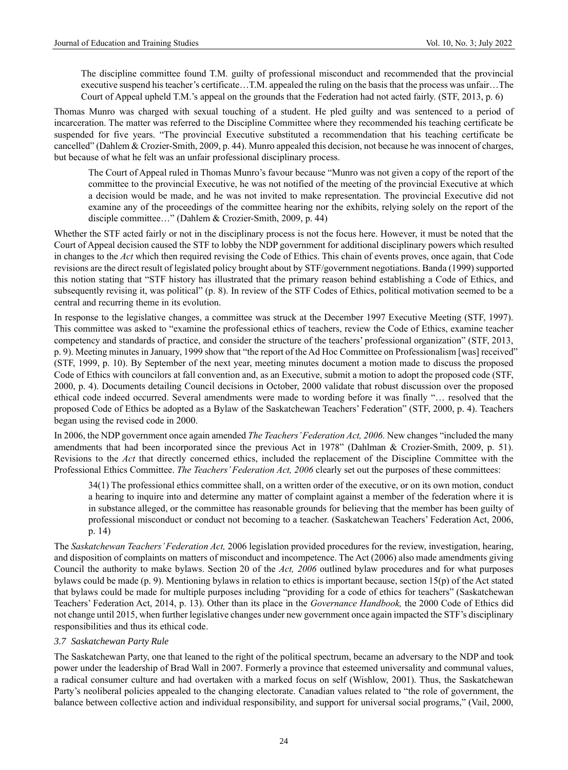The discipline committee found T.M. guilty of professional misconduct and recommended that the provincial executive suspend his teacher's certificate…T.M. appealed the ruling on the basis that the process was unfair…The Court of Appeal upheld T.M.'s appeal on the grounds that the Federation had not acted fairly. (STF, 2013, p. 6)

Thomas Munro was charged with sexual touching of a student. He pled guilty and was sentenced to a period of incarceration. The matter was referred to the Discipline Committee where they recommended his teaching certificate be suspended for five years. "The provincial Executive substituted a recommendation that his teaching certificate be cancelled" (Dahlem & Crozier-Smith, 2009, p. 44). Munro appealed this decision, not because he was innocent of charges, but because of what he felt was an unfair professional disciplinary process.

The Court of Appeal ruled in Thomas Munro's favour because "Munro was not given a copy of the report of the committee to the provincial Executive, he was not notified of the meeting of the provincial Executive at which a decision would be made, and he was not invited to make representation. The provincial Executive did not examine any of the proceedings of the committee hearing nor the exhibits, relying solely on the report of the disciple committee…" (Dahlem & Crozier-Smith, 2009, p. 44)

Whether the STF acted fairly or not in the disciplinary process is not the focus here. However, it must be noted that the Court of Appeal decision caused the STF to lobby the NDP government for additional disciplinary powers which resulted in changes to the *Act* which then required revising the Code of Ethics. This chain of events proves, once again, that Code revisions are the direct result of legislated policy brought about by STF/government negotiations. Banda (1999) supported this notion stating that "STF history has illustrated that the primary reason behind establishing a Code of Ethics, and subsequently revising it, was political" (p. 8). In review of the STF Codes of Ethics, political motivation seemed to be a central and recurring theme in its evolution.

In response to the legislative changes, a committee was struck at the December 1997 Executive Meeting (STF, 1997). This committee was asked to "examine the professional ethics of teachers, review the Code of Ethics, examine teacher competency and standards of practice, and consider the structure of the teachers' professional organization" (STF, 2013, p. 9). Meeting minutes in January, 1999 show that "the report of the Ad Hoc Committee on Professionalism [was] received" (STF, 1999, p. 10). By September of the next year, meeting minutes document a motion made to discuss the proposed Code of Ethics with councilors at fall convention and, as an Executive, submit a motion to adopt the proposed code (STF, 2000, p. 4). Documents detailing Council decisions in October, 2000 validate that robust discussion over the proposed ethical code indeed occurred. Several amendments were made to wording before it was finally "… resolved that the proposed Code of Ethics be adopted as a Bylaw of the Saskatchewan Teachers' Federation" (STF, 2000, p. 4). Teachers began using the revised code in 2000.

In 2006, the NDP government once again amended *The Teachers' Federation Act, 2006.* New changes "included the many amendments that had been incorporated since the previous Act in 1978" (Dahlman & Crozier-Smith, 2009, p. 51). Revisions to the *Act* that directly concerned ethics, included the replacement of the Discipline Committee with the Professional Ethics Committee. *The Teachers' Federation Act, 2006* clearly set out the purposes of these committees:

34(1) The professional ethics committee shall, on a written order of the executive, or on its own motion, conduct a hearing to inquire into and determine any matter of complaint against a member of the federation where it is in substance alleged, or the committee has reasonable grounds for believing that the member has been guilty of professional misconduct or conduct not becoming to a teacher. (Saskatchewan Teachers' Federation Act, 2006, p. 14)

The *Saskatchewan Teachers' Federation Act,* 2006 legislation provided procedures for the review, investigation, hearing, and disposition of complaints on matters of misconduct and incompetence. The Act (2006) also made amendments giving Council the authority to make bylaws. Section 20 of the *Act, 2006* outlined bylaw procedures and for what purposes bylaws could be made (p. 9). Mentioning bylaws in relation to ethics is important because, section 15(p) of the Act stated that bylaws could be made for multiple purposes including "providing for a code of ethics for teachers" (Saskatchewan Teachers' Federation Act, 2014, p. 13). Other than its place in the *Governance Handbook,* the 2000 Code of Ethics did not change until 2015, when further legislative changes under new government once again impacted the STF's disciplinary responsibilities and thus its ethical code.

# *3.7 Saskatchewan Party Rule*

The Saskatchewan Party, one that leaned to the right of the political spectrum, became an adversary to the NDP and took power under the leadership of Brad Wall in 2007. Formerly a province that esteemed universality and communal values, a radical consumer culture and had overtaken with a marked focus on self (Wishlow, 2001). Thus, the Saskatchewan Party's neoliberal policies appealed to the changing electorate. Canadian values related to "the role of government, the balance between collective action and individual responsibility, and support for universal social programs," (Vail, 2000,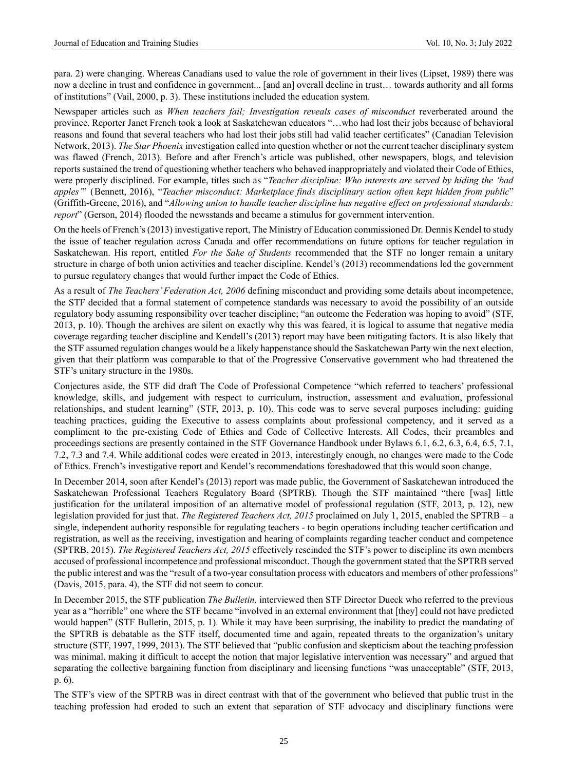para. 2) were changing. Whereas Canadians used to value the role of government in their lives (Lipset, 1989) there was now a decline in trust and confidence in government... [and an] overall decline in trust… towards authority and all forms of institutions" (Vail, 2000, p. 3). These institutions included the education system.

Newspaper articles such as *When teachers fail; Investigation reveals cases of misconduct* reverberated around the province. Reporter Janet French took a look at Saskatchewan educators "…who had lost their jobs because of behavioral reasons and found that several teachers who had lost their jobs still had valid teacher certificates" (Canadian Television Network, 2013). *The Star Phoenix* investigation called into question whether or not the current teacher disciplinary system was flawed (French, 2013). Before and after French's article was published, other newspapers, blogs, and television reports sustained the trend of questioning whether teachers who behaved inappropriately and violated their Code of Ethics, were properly disciplined. For example, titles such as "*Teacher discipline: Who interests are served by hiding the 'bad apples'*" (Bennett, 2016), "*Teacher misconduct: Marketplace finds disciplinary action often kept hidden from public*" (Griffith-Greene, 2016), and "*Allowing union to handle teacher discipline has negative effect on professional standards: report*" (Gerson, 2014) flooded the newsstands and became a stimulus for government intervention.

On the heels of French's (2013) investigative report, The Ministry of Education commissioned Dr. Dennis Kendel to study the issue of teacher regulation across Canada and offer recommendations on future options for teacher regulation in Saskatchewan. His report, entitled *For the Sake of Students* recommended that the STF no longer remain a unitary structure in charge of both union activities and teacher discipline. Kendel's (2013) recommendations led the government to pursue regulatory changes that would further impact the Code of Ethics.

As a result of *The Teachers' Federation Act, 2006* defining misconduct and providing some details about incompetence, the STF decided that a formal statement of competence standards was necessary to avoid the possibility of an outside regulatory body assuming responsibility over teacher discipline; "an outcome the Federation was hoping to avoid" (STF, 2013, p. 10). Though the archives are silent on exactly why this was feared, it is logical to assume that negative media coverage regarding teacher discipline and Kendell's (2013) report may have been mitigating factors. It is also likely that the STF assumed regulation changes would be a likely happenstance should the Saskatchewan Party win the next election, given that their platform was comparable to that of the Progressive Conservative government who had threatened the STF's unitary structure in the 1980s.

Conjectures aside, the STF did draft The Code of Professional Competence "which referred to teachers' professional knowledge, skills, and judgement with respect to curriculum, instruction, assessment and evaluation, professional relationships, and student learning" (STF, 2013, p. 10). This code was to serve several purposes including: guiding teaching practices, guiding the Executive to assess complaints about professional competency, and it served as a compliment to the pre-existing Code of Ethics and Code of Collective Interests. All Codes, their preambles and proceedings sections are presently contained in the STF Governance Handbook under Bylaws 6.1, 6.2, 6.3, 6.4, 6.5, 7.1, 7.2, 7.3 and 7.4. While additional codes were created in 2013, interestingly enough, no changes were made to the Code of Ethics. French's investigative report and Kendel's recommendations foreshadowed that this would soon change.

In December 2014, soon after Kendel's (2013) report was made public, the Government of Saskatchewan introduced the Saskatchewan Professional Teachers Regulatory Board (SPTRB). Though the STF maintained "there [was] little justification for the unilateral imposition of an alternative model of professional regulation (STF, 2013, p. 12), new legislation provided for just that. *The Registered Teachers Act, 2015* proclaimed on July 1, 2015, enabled the SPTRB – a single, independent authority responsible for regulating teachers - to begin operations including teacher certification and registration, as well as the receiving, investigation and hearing of complaints regarding teacher conduct and competence (SPTRB, 2015). *The Registered Teachers Act, 2015* effectively rescinded the STF's power to discipline its own members accused of professional incompetence and professional misconduct. Though the government stated that the SPTRB served the public interest and was the "result of a two-year consultation process with educators and members of other professions" (Davis, 2015, para. 4), the STF did not seem to concur.

In December 2015, the STF publication *The Bulletin,* interviewed then STF Director Dueck who referred to the previous year as a "horrible" one where the STF became "involved in an external environment that [they] could not have predicted would happen" (STF Bulletin, 2015, p. 1). While it may have been surprising, the inability to predict the mandating of the SPTRB is debatable as the STF itself, documented time and again, repeated threats to the organization's unitary structure (STF, 1997, 1999, 2013). The STF believed that "public confusion and skepticism about the teaching profession was minimal, making it difficult to accept the notion that major legislative intervention was necessary" and argued that separating the collective bargaining function from disciplinary and licensing functions "was unacceptable" (STF, 2013, p. 6).

The STF's view of the SPTRB was in direct contrast with that of the government who believed that public trust in the teaching profession had eroded to such an extent that separation of STF advocacy and disciplinary functions were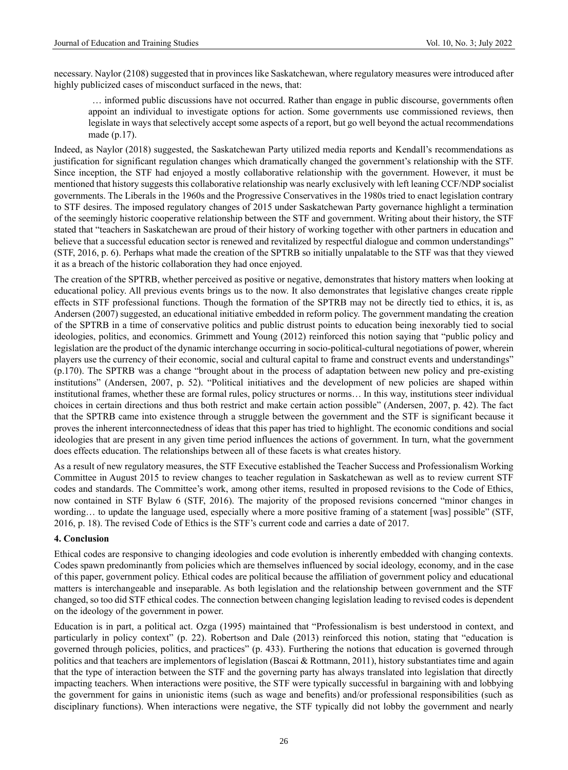necessary. Naylor (2108) suggested that in provinces like Saskatchewan, where regulatory measures were introduced after highly publicized cases of misconduct surfaced in the news, that:

… informed public discussions have not occurred. Rather than engage in public discourse, governments often appoint an individual to investigate options for action. Some governments use commissioned reviews, then legislate in ways that selectively accept some aspects of a report, but go well beyond the actual recommendations made (p.17).

Indeed, as Naylor (2018) suggested, the Saskatchewan Party utilized media reports and Kendall's recommendations as justification for significant regulation changes which dramatically changed the government's relationship with the STF. Since inception, the STF had enjoyed a mostly collaborative relationship with the government. However, it must be mentioned that history suggests this collaborative relationship was nearly exclusively with left leaning CCF/NDP socialist governments. The Liberals in the 1960s and the Progressive Conservatives in the 1980s tried to enact legislation contrary to STF desires. The imposed regulatory changes of 2015 under Saskatchewan Party governance highlight a termination of the seemingly historic cooperative relationship between the STF and government. Writing about their history, the STF stated that "teachers in Saskatchewan are proud of their history of working together with other partners in education and believe that a successful education sector is renewed and revitalized by respectful dialogue and common understandings" (STF, 2016, p. 6). Perhaps what made the creation of the SPTRB so initially unpalatable to the STF was that they viewed it as a breach of the historic collaboration they had once enjoyed.

The creation of the SPTRB, whether perceived as positive or negative, demonstrates that history matters when looking at educational policy. All previous events brings us to the now. It also demonstrates that legislative changes create ripple effects in STF professional functions. Though the formation of the SPTRB may not be directly tied to ethics, it is, as Andersen (2007) suggested, an educational initiative embedded in reform policy. The government mandating the creation of the SPTRB in a time of conservative politics and public distrust points to education being inexorably tied to social ideologies, politics, and economics. Grimmett and Young (2012) reinforced this notion saying that "public policy and legislation are the product of the dynamic interchange occurring in socio-political-cultural negotiations of power, wherein players use the currency of their economic, social and cultural capital to frame and construct events and understandings" (p.170). The SPTRB was a change "brought about in the process of adaptation between new policy and pre-existing institutions" (Andersen, 2007, p. 52). "Political initiatives and the development of new policies are shaped within institutional frames, whether these are formal rules, policy structures or norms… In this way, institutions steer individual choices in certain directions and thus both restrict and make certain action possible" (Andersen, 2007, p. 42). The fact that the SPTRB came into existence through a struggle between the government and the STF is significant because it proves the inherent interconnectedness of ideas that this paper has tried to highlight. The economic conditions and social ideologies that are present in any given time period influences the actions of government. In turn, what the government does effects education. The relationships between all of these facets is what creates history.

As a result of new regulatory measures, the STF Executive established the Teacher Success and Professionalism Working Committee in August 2015 to review changes to teacher regulation in Saskatchewan as well as to review current STF codes and standards. The Committee's work, among other items, resulted in proposed revisions to the Code of Ethics, now contained in STF Bylaw 6 (STF, 2016). The majority of the proposed revisions concerned "minor changes in wording… to update the language used, especially where a more positive framing of a statement [was] possible" (STF, 2016, p. 18). The revised Code of Ethics is the STF's current code and carries a date of 2017.

# **4. Conclusion**

Ethical codes are responsive to changing ideologies and code evolution is inherently embedded with changing contexts. Codes spawn predominantly from policies which are themselves influenced by social ideology, economy, and in the case of this paper, government policy. Ethical codes are political because the affiliation of government policy and educational matters is interchangeable and inseparable. As both legislation and the relationship between government and the STF changed, so too did STF ethical codes. The connection between changing legislation leading to revised codes is dependent on the ideology of the government in power.

Education is in part, a political act. Ozga (1995) maintained that "Professionalism is best understood in context, and particularly in policy context" (p. 22). Robertson and Dale (2013) reinforced this notion, stating that "education is governed through policies, politics, and practices" (p. 433). Furthering the notions that education is governed through politics and that teachers are implementors of legislation (Bascai & Rottmann, 2011), history substantiates time and again that the type of interaction between the STF and the governing party has always translated into legislation that directly impacting teachers. When interactions were positive, the STF were typically successful in bargaining with and lobbying the government for gains in unionistic items (such as wage and benefits) and/or professional responsibilities (such as disciplinary functions). When interactions were negative, the STF typically did not lobby the government and nearly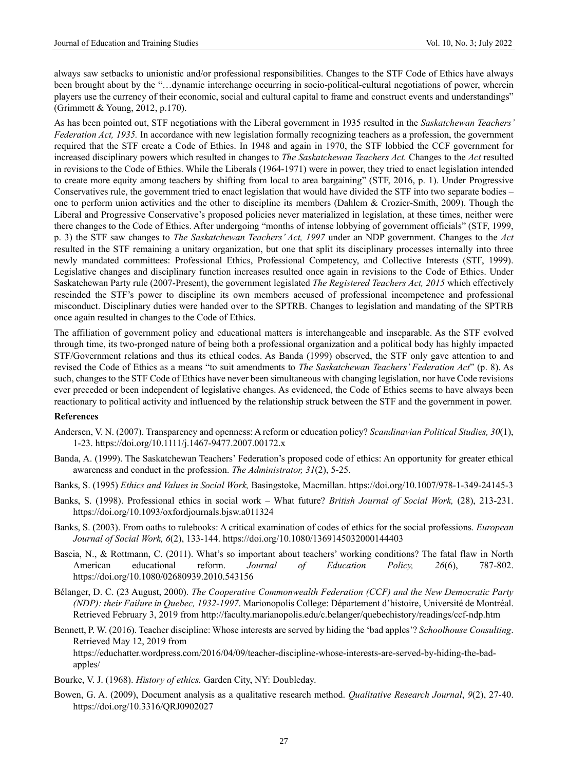always saw setbacks to unionistic and/or professional responsibilities. Changes to the STF Code of Ethics have always been brought about by the "…dynamic interchange occurring in socio-political-cultural negotiations of power, wherein players use the currency of their economic, social and cultural capital to frame and construct events and understandings" (Grimmett & Young, 2012, p.170).

As has been pointed out, STF negotiations with the Liberal government in 1935 resulted in the *Saskatchewan Teachers' Federation Act, 1935.* In accordance with new legislation formally recognizing teachers as a profession, the government required that the STF create a Code of Ethics. In 1948 and again in 1970, the STF lobbied the CCF government for increased disciplinary powers which resulted in changes to *The Saskatchewan Teachers Act.* Changes to the *Act* resulted in revisions to the Code of Ethics. While the Liberals (1964-1971) were in power, they tried to enact legislation intended to create more equity among teachers by shifting from local to area bargaining" (STF, 2016, p. 1). Under Progressive Conservatives rule, the government tried to enact legislation that would have divided the STF into two separate bodies – one to perform union activities and the other to discipline its members (Dahlem & Crozier-Smith, 2009). Though the Liberal and Progressive Conservative's proposed policies never materialized in legislation, at these times, neither were there changes to the Code of Ethics. After undergoing "months of intense lobbying of government officials" (STF, 1999, p. 3) the STF saw changes to *The Saskatchewan Teachers' Act, 1997* under an NDP government. Changes to the *Act* resulted in the STF remaining a unitary organization, but one that split its disciplinary processes internally into three newly mandated committees: Professional Ethics, Professional Competency, and Collective Interests (STF, 1999). Legislative changes and disciplinary function increases resulted once again in revisions to the Code of Ethics. Under Saskatchewan Party rule (2007-Present), the government legislated *The Registered Teachers Act, 2015* which effectively rescinded the STF's power to discipline its own members accused of professional incompetence and professional misconduct. Disciplinary duties were handed over to the SPTRB. Changes to legislation and mandating of the SPTRB once again resulted in changes to the Code of Ethics.

The affiliation of government policy and educational matters is interchangeable and inseparable. As the STF evolved through time, its two-pronged nature of being both a professional organization and a political body has highly impacted STF/Government relations and thus its ethical codes. As Banda (1999) observed, the STF only gave attention to and revised the Code of Ethics as a means "to suit amendments to *The Saskatchewan Teachers' Federation Act*" (p. 8). As such, changes to the STF Code of Ethics have never been simultaneous with changing legislation, nor have Code revisions ever preceded or been independent of legislative changes. As evidenced, the Code of Ethics seems to have always been reactionary to political activity and influenced by the relationship struck between the STF and the government in power.

# **References**

- Andersen, V. N. (2007). Transparency and openness: A reform or education policy? *Scandinavian Political Studies, 30*(1), 1-23. <https://doi.org/10.1111/j.1467-9477.2007.00172.x>
- Banda, A. (1999). The Saskatchewan Teachers' Federation's proposed code of ethics: An opportunity for greater ethical awareness and conduct in the profession. *The Administrator, 31*(2), 5-25.
- Banks, S. (1995) *Ethics and Values in Social Work,* Basingstoke, Macmillan. <https://doi.org/10.1007/978-1-349-24145-3>
- Banks, S. (1998). Professional ethics in social work What future? *British Journal of Social Work,* (28), 213-231. <https://doi.org/10.1093/oxfordjournals.bjsw.a011324>
- Banks, S. (2003). From oaths to rulebooks: A critical examination of codes of ethics for the social professions. *European Journal of Social Work, 6*(2), 133-144. <https://doi.org/10.1080/1369145032000144403>
- Bascia, N., & Rottmann, C. (2011). What's so important about teachers' working conditions? The fatal flaw in North American educational reform. *Journal of Education Policy, 26*(6), 787-802. <https://doi.org/10.1080/02680939.2010.543156>
- Bélanger, D. C. (23 August, 2000). *The Cooperative Commonwealth Federation (CCF) and the New Democratic Party (NDP): their Failure in Quebec, 1932-1997*. Marionopolis College: Département d'histoire, Université de Montréal. Retrieved February 3, 2019 from http://faculty.marianopolis.edu/c.belanger/quebechistory/readings/ccf-ndp.htm
- Bennett, P. W. (2016). Teacher discipline: Whose interests are served by hiding the 'bad apples'? *Schoolhouse Consulting*. Retrieved May 12, 2019 from https://educhatter.wordpress.com/2016/04/09/teacher-discipline-whose-interests-are-served-by-hiding-the-badapples/
- Bourke, V. J. (1968). *History of ethics.* Garden City, NY: Doubleday.
- Bowen, G. A. (2009), Document analysis as a qualitative research method. *Qualitative Research Journal*, *9*(2), 27-40. <https://doi.org/10.3316/QRJ0902027>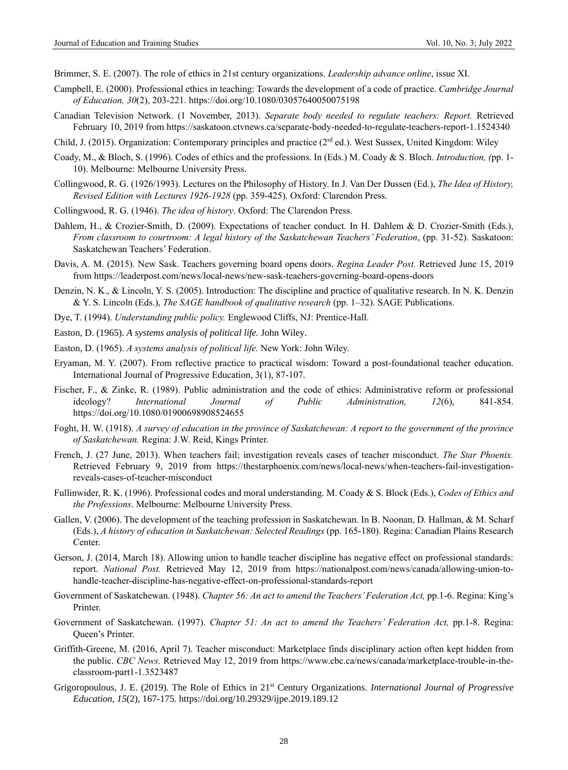Brimmer, S. E. (2007). The role of ethics in 21st century organizations. *Leadership advance online*, issue XI.

- Campbell, E. (2000). Professional ethics in teaching: Towards the development of a code of practice. *Cambridge Journal of Education, 30*(2), 203-221. <https://doi.org/10.1080/03057640050075198>
- Canadian Television Network. (1 November, 2013). *Separate body needed to regulate teachers: Report.* Retrieved February 10, 2019 from https://saskatoon.ctvnews.ca/separate-body-needed-to-regulate-teachers-report-1.1524340
- Child, J. (2015). Organization: Contemporary principles and practice ( $2<sup>rd</sup>$  ed.). West Sussex, United Kingdom: Wiley
- Coady, M., & Bloch, S. (1996). Codes of ethics and the professions. In (Eds.) M. Coady & S. Bloch. *Introduction, (*pp. 1- 10). Melbourne: Melbourne University Press.
- Collingwood, R. G. (1926/1993). Lectures on the Philosophy of History. In J. Van Der Dussen (Ed.), *The Idea of History, Revised Edition with Lectures 1926-1928* (pp. 359-425). Oxford: Clarendon Press.
- Collingwood, R. G. (1946). *The idea of history*. Oxford: The Clarendon Press.
- Dahlem, H., & Crozier-Smith, D. (2009). Expectations of teacher conduct. In H. Dahlem & D. Crozier-Smith (Eds.), *From classroom to courtroom: A legal history of the Saskatchewan Teachers' Federation*, (pp. 31-52). Saskatoon: Saskatchewan Teachers' Federation.
- Davis, A. M. (2015). New Sask. Teachers governing board opens doors. *Regina Leader Post.* Retrieved June 15, 2019 fro[m https://leaderpost.com/news/local-news/new-sask-teachers-governing-board-opens-doors](https://leaderpost.com/news/local-news/new-sask-teachers-governing-board-opens-doors)
- Denzin, N. K., & Lincoln, Y. S. (2005). Introduction: The discipline and practice of qualitative research. In N. K. Denzin & Y. S. Lincoln (Eds.), *The SAGE handbook of qualitative research* (pp. 1–32). SAGE Publications.
- Dye, T. (1994). *Understanding public policy.* Englewood Cliffs, NJ: Prentice-Hall.
- Easton, D. (1965). *A systems analysis of political life.* John Wiley.
- Easton, D. (1965). *A systems analysis of political life.* New York: John Wiley.
- Eryaman, M. Y. (2007). From reflective practice to practical wisdom: Toward a post-foundational teacher education. International Journal of Progressive Education, 3(1), 87-107.
- Fischer, F., & Zinke, R. (1989). Public administration and the code of ethics: Administrative reform or professional ideology? *International Journal of Public Administration, 12*(6), 841-854. <https://doi.org/10.1080/01900698908524655>
- Foght, H. W. (1918). *A survey of education in the province of Saskatchewan: A report to the government of the province of Saskatchewan.* Regina: J.W. Reid, Kings Printer.
- French, J. (27 June, 2013). When teachers fail; investigation reveals cases of teacher misconduct. *The Star Phoenix.*  Retrieved February 9, 2019 from [https://thestarphoenix.com/news/local-news/when-teachers-fail-investigation](https://thestarphoenix.com/news/local-news/when-teachers-fail-investigation-reveals-cases-of-teacher-misconduct)[reveals-cases-of-teacher-misconduct](https://thestarphoenix.com/news/local-news/when-teachers-fail-investigation-reveals-cases-of-teacher-misconduct)
- Fullinwider, R. K. (1996). Professional codes and moral understanding. M. Coady & S. Block (Eds.), *Codes of Ethics and the Professions*. Melbourne: Melbourne University Press.
- Gallen, V. (2006). The development of the teaching profession in Saskatchewan. In B. Noonan, D. Hallman, & M. Scharf (Eds.), *A history of education in Saskatchewan: Selected Readings* (pp. 165-180). Regina: Canadian Plains Research Center.
- Gerson, J. (2014, March 18). Allowing union to handle teacher discipline has negative effect on professional standards: report. *National Post.* Retrieved May 12, 2019 from [https://nationalpost.com/news/canada/allowing-union-to](https://nationalpost.com/news/canada/allowing-union-to-handle-teacher-discipline-has-negative-effect-on-professional-standards-report)[handle-teacher-discipline-has-negative-effect-on-professional-standards-report](https://nationalpost.com/news/canada/allowing-union-to-handle-teacher-discipline-has-negative-effect-on-professional-standards-report)
- Government of Saskatchewan. (1948). *Chapter 56: An act to amend the Teachers' Federation Act*, pp.1-6. Regina: King's Printer.
- Government of Saskatchewan. (1997). *Chapter 51: An act to amend the Teachers' Federation Act, pp.1-8. Regina:* Queen's Printer.
- Griffith-Greene, M. (2016, April 7). Teacher misconduct: Marketplace finds disciplinary action often kept hidden from the public. *CBC News.* Retrieved May 12, 2019 from [https://www.cbc.ca/news/canada/marketplace-trouble-in-the](https://www.cbc.ca/news/canada/marketplace-trouble-in-the-classroom-part1-1.3523487)[classroom-part1-1.3523487](https://www.cbc.ca/news/canada/marketplace-trouble-in-the-classroom-part1-1.3523487)
- Grigoropoulous, J. E. (2019). The Role of Ethics in 21st Century Organizations. *International Journal of Progressive Education, 15*(2), 167-175*.* <https://doi.org/10.29329/ijpe.2019.189.12>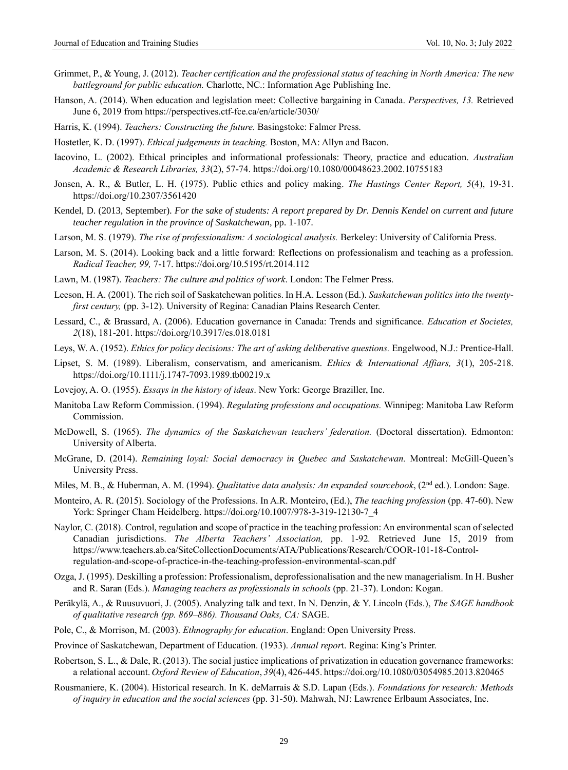- Grimmet, P., & Young, J. (2012). *Teacher certification and the professional status of teaching in North America: The new battleground for public education.* Charlotte, NC.: Information Age Publishing Inc.
- Hanson, A. (2014). When education and legislation meet: Collective bargaining in Canada. *Perspectives, 13.* Retrieved June 6, 2019 from<https://perspectives.ctf-fce.ca/en/article/3030/>
- Harris, K. (1994). *Teachers: Constructing the future.* Basingstoke: Falmer Press.
- Hostetler, K. D. (1997). *Ethical judgements in teaching.* Boston, MA: Allyn and Bacon.
- Iacovino, L. (2002). Ethical principles and informational professionals: Theory, practice and education. *Australian Academic & Research Libraries, 33*(2), 57-74.<https://doi.org/10.1080/00048623.2002.10755183>
- Jonsen, A. R., & Butler, L. H. (1975). Public ethics and policy making. *The Hastings Center Report, 5*(4), 19-31. <https://doi.org/10.2307/3561420>
- Kendel, D. (2013, September). *For the sake of students: A report prepared by Dr. Dennis Kendel on current and future teacher regulation in the province of Saskatchewan*, pp. 1-107.
- Larson, M. S. (1979). *The rise of professionalism: A sociological analysis.* Berkeley: University of California Press.
- Larson, M. S. (2014). Looking back and a little forward: Reflections on professionalism and teaching as a profession. *Radical Teacher, 99,* 7-17.<https://doi.org/10.5195/rt.2014.112>
- Lawn, M. (1987). *Teachers: The culture and politics of work*. London: The Felmer Press.
- Leeson, H. A. (2001). The rich soil of Saskatchewan politics. In H.A. Lesson (Ed.). *Saskatchewan politics into the twentyfirst century,* (pp. 3-12). University of Regina: Canadian Plains Research Center.
- Lessard, C., & Brassard, A. (2006). Education governance in Canada: Trends and significance. *Education et Societes, 2*(18), 181-201. <https://doi.org/10.3917/es.018.0181>
- Leys, W. A. (1952). *Ethics for policy decisions: The art of asking deliberative questions.* Engelwood, N.J.: Prentice-Hall.
- Lipset, S. M. (1989). Liberalism, conservatism, and americanism. *Ethics & International Affiars, 3*(1), 205-218. <https://doi.org/10.1111/j.1747-7093.1989.tb00219.x>
- Lovejoy, A. O. (1955). *Essays in the history of ideas*. New York: George Braziller, Inc.
- Manitoba Law Reform Commission. (1994). *Regulating professions and occupations.* Winnipeg: Manitoba Law Reform Commission.
- McDowell, S. (1965). *The dynamics of the Saskatchewan teachers' federation.* (Doctoral dissertation). Edmonton: University of Alberta.
- McGrane, D. (2014). *Remaining loyal: Social democracy in Quebec and Saskatchewan.* Montreal: McGill-Queen's University Press.
- Miles, M. B., & Huberman, A. M. (1994). *Qualitative data analysis: An expanded sourcebook*, (2<sup>nd</sup> ed.). London: Sage.
- Monteiro, A. R. (2015). Sociology of the Professions. In A.R. Monteiro, (Ed.), *The teaching profession* (pp. 47-60). New York: Springer Cham Heidelberg. [https://doi.org/10.1007/978-3-319-12130-7\\_4](https://doi.org/10.1007/978-3-319-12130-7_4)
- Naylor, C. (2018). Control, regulation and scope of practice in the teaching profession: An environmental scan of selected Canadian jurisdictions. *The Alberta Teachers' Association,* pp. 1-92*.* Retrieved June 15, 2019 from https://www.teachers.ab.ca/SiteCollectionDocuments/ATA/Publications/Research/COOR-101-18-Controlregulation-and-scope-of-practice-in-the-teaching-profession-environmental-scan.pdf
- Ozga, J. (1995). Deskilling a profession: Professionalism, deprofessionalisation and the new managerialism. In H. Busher and R. Saran (Eds.). *Managing teachers as professionals in schools* (pp. 21-37). London: Kogan.
- Peräkylä, A., & Ruusuvuori, J. (2005). Analyzing talk and text. In N. Denzin, & Y. Lincoln (Eds.), *The SAGE handbook of qualitative research (pp. 869–886). Thousand Oaks, CA:* SAGE.
- Pole, C., & Morrison, M. (2003). *Ethnography for education*. England: Open University Press.
- Province of Saskatchewan, Department of Education. (1933). *Annual repor*t. Regina: King's Printer.
- Robertson, S. L., & Dale, R. (2013). The social justice implications of privatization in education governance frameworks: a relational account. *Oxford Review of Education*, *39*(4), 426-445. <https://doi.org/10.1080/03054985.2013.820465>
- Rousmaniere, K. (2004). Historical research. In K. deMarrais & S.D. Lapan (Eds.). *Foundations for research: Methods of inquiry in education and the social sciences* (pp. 31-50). Mahwah, NJ: Lawrence Erlbaum Associates, Inc.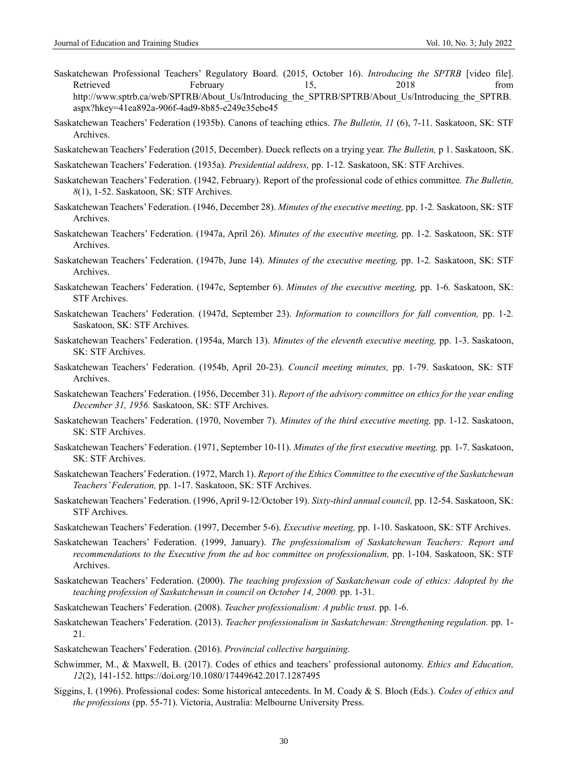- Saskatchewan Professional Teachers' Regulatory Board. (2015, October 16). *Introducing the SPTRB* [video file]. Retrieved February 15, 2018 from [http://www.sptrb.ca/web/SPTRB/About\\_Us/Introducing\\_the\\_SPTRB/SPTRB/About\\_Us/Introducing\\_the\\_SPTRB.](http://www.sptrb.ca/web/SPTRB/About_Us/Introducing_the_SPTRB/SPTRB/About_Us/Introducing_the_SPTRB.aspx?hkey=41ea892a-906f-4ad9-8b85-e249e35ebe45) [aspx?hkey=41ea892a-906f-4ad9-8b85-e249e35ebe45](http://www.sptrb.ca/web/SPTRB/About_Us/Introducing_the_SPTRB/SPTRB/About_Us/Introducing_the_SPTRB.aspx?hkey=41ea892a-906f-4ad9-8b85-e249e35ebe45)
- Saskatchewan Teachers' Federation (1935b). Canons of teaching ethics. *The Bulletin, 11* (6), 7-11. Saskatoon, SK: STF Archives.
- Saskatchewan Teachers' Federation (2015, December). Dueck reflects on a trying year. *The Bulletin,* p 1. Saskatoon, SK.
- Saskatchewan Teachers' Federation. (1935a). *Presidential address,* pp. 1-12*.* Saskatoon, SK: STF Archives.
- Saskatchewan Teachers' Federation. (1942, February). Report of the professional code of ethics committee*. The Bulletin, 8*(1), 1-52. Saskatoon, SK: STF Archives.
- Saskatchewan Teachers' Federation. (1946, December 28). *Minutes of the executive meeting,* pp. 1-2*.* Saskatoon, SK: STF Archives.
- Saskatchewan Teachers' Federation. (1947a, April 26). *Minutes of the executive meeting,* pp. 1-2*.* Saskatoon, SK: STF Archives.
- Saskatchewan Teachers' Federation. (1947b, June 14). *Minutes of the executive meeting,* pp. 1-2*.* Saskatoon, SK: STF Archives.
- Saskatchewan Teachers' Federation. (1947c, September 6). *Minutes of the executive meeting,* pp. 1-6*.* Saskatoon, SK: STF Archives.
- Saskatchewan Teachers' Federation. (1947d, September 23). *Information to councillors for fall convention,* pp. 1-2*.*  Saskatoon, SK: STF Archives.
- Saskatchewan Teachers' Federation. (1954a, March 13). *Minutes of the eleventh executive meeting,* pp. 1-3. Saskatoon, SK: STF Archives.
- Saskatchewan Teachers' Federation. (1954b, April 20-23). *Council meeting minutes,* pp. 1-79. Saskatoon, SK: STF Archives.
- Saskatchewan Teachers' Federation. (1956, December 31). *Report of the advisory committee on ethics for the year ending December 31, 1956.* Saskatoon, SK: STF Archives.
- Saskatchewan Teachers' Federation. (1970, November 7). *Minutes of the third executive meeting,* pp. 1-12. Saskatoon, SK: STF Archives.
- Saskatchewan Teachers' Federation. (1971, September 10-11). *Minutes of the first executive meeting,* pp. 1-7. Saskatoon, SK: STF Archives.
- Saskatchewan Teachers' Federation. (1972, March 1). *Report of the Ethics Committee to the executive of the Saskatchewan Teachers' Federation,* pp. 1-17. Saskatoon, SK: STF Archives.
- Saskatchewan Teachers' Federation. (1996, April 9-12/October 19). *Sixty-third annual council,* pp. 12-54. Saskatoon, SK: STF Archives.
- Saskatchewan Teachers' Federation. (1997, December 5-6). *Executive meeting,* pp. 1-10. Saskatoon, SK: STF Archives.
- Saskatchewan Teachers' Federation. (1999, January). *The professionalism of Saskatchewan Teachers: Report and recommendations to the Executive from the ad hoc committee on professionalism,* pp. 1-104. Saskatoon, SK: STF Archives.
- Saskatchewan Teachers' Federation. (2000). *The teaching profession of Saskatchewan code of ethics: Adopted by the teaching profession of Saskatchewan in council on October 14, 2000.* pp. 1-31.
- Saskatchewan Teachers' Federation. (2008). *Teacher professionalism: A public trust.* pp. 1-6.
- Saskatchewan Teachers' Federation. (2013). *Teacher professionalism in Saskatchewan: Strengthening regulation.* pp. 1- 21.
- Saskatchewan Teachers' Federation. (2016). *Provincial collective bargaining.*
- Schwimmer, M., & Maxwell, B. (2017). Codes of ethics and teachers' professional autonomy. *Ethics and Education, 12*(2), 141-152[. https://doi.org/10.1080/17449642.2017.1287495](https://doi.org/10.1080/17449642.2017.1287495)
- Siggins, I. (1996). Professional codes: Some historical antecedents. In M. Coady & S. Bloch (Eds.). *Codes of ethics and the professions* (pp. 55-71). Victoria, Australia: Melbourne University Press.